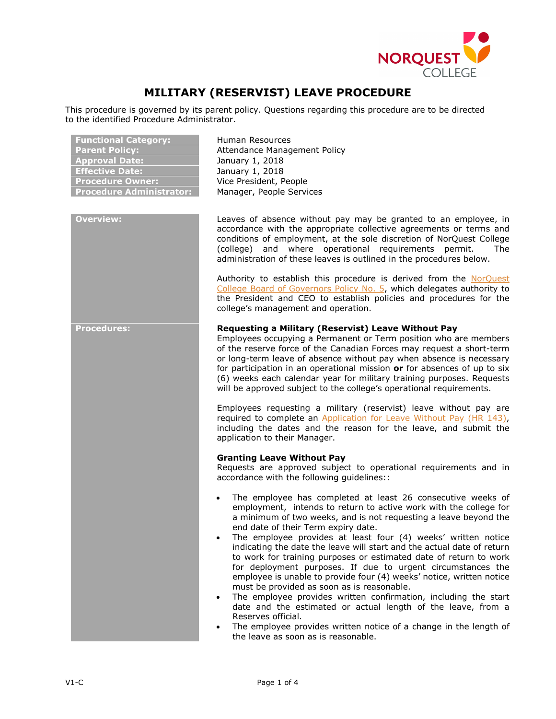

# **MILITARY (RESERVIST) LEAVE PROCEDURE**

This procedure is governed by its parent policy. Questions regarding this procedure are to be directed to the identified Procedure Administrator.

| <b>Functional Category:</b><br><b>Parent Policy:</b><br><b>Approval Date:</b><br><b>Effective Date:</b><br><b>Procedure Owner:</b><br><b>Procedure Administrator:</b> | Human Resources<br>Attendance Management Policy<br>January 1, 2018<br>January 1, 2018<br>Vice President, People<br>Manager, People Services                                                                                                                                                                                                                                                                                                                                                                                                                                                                                                                                                                                                                                                                                                                                                                                                                                                                                                                                               |
|-----------------------------------------------------------------------------------------------------------------------------------------------------------------------|-------------------------------------------------------------------------------------------------------------------------------------------------------------------------------------------------------------------------------------------------------------------------------------------------------------------------------------------------------------------------------------------------------------------------------------------------------------------------------------------------------------------------------------------------------------------------------------------------------------------------------------------------------------------------------------------------------------------------------------------------------------------------------------------------------------------------------------------------------------------------------------------------------------------------------------------------------------------------------------------------------------------------------------------------------------------------------------------|
| <b>Overview:</b>                                                                                                                                                      | Leaves of absence without pay may be granted to an employee, in<br>accordance with the appropriate collective agreements or terms and<br>conditions of employment, at the sole discretion of NorQuest College<br>(college) and where operational requirements permit.<br>The<br>administration of these leaves is outlined in the procedures below.<br>Authority to establish this procedure is derived from the NorQuest<br>College Board of Governors Policy No. 5, which delegates authority to<br>the President and CEO to establish policies and procedures for the<br>college's management and operation.                                                                                                                                                                                                                                                                                                                                                                                                                                                                           |
| <b>Procedures:</b>                                                                                                                                                    | Requesting a Military (Reservist) Leave Without Pay<br>Employees occupying a Permanent or Term position who are members<br>of the reserve force of the Canadian Forces may request a short-term<br>or long-term leave of absence without pay when absence is necessary<br>for participation in an operational mission or for absences of up to six<br>(6) weeks each calendar year for military training purposes. Requests<br>will be approved subject to the college's operational requirements.<br>Employees requesting a military (reservist) leave without pay are<br>required to complete an Application for Leave Without Pay (HR 143),<br>including the dates and the reason for the leave, and submit the<br>application to their Manager.                                                                                                                                                                                                                                                                                                                                       |
|                                                                                                                                                                       | <b>Granting Leave Without Pay</b><br>Requests are approved subject to operational requirements and in<br>accordance with the following guidelines::<br>The employee has completed at least 26 consecutive weeks of<br>employment, intends to return to active work with the college for<br>a minimum of two weeks, and is not requesting a leave beyond the<br>end date of their Term expiry date.<br>The employee provides at least four (4) weeks' written notice<br>indicating the date the leave will start and the actual date of return<br>to work for training purposes or estimated date of return to work<br>for deployment purposes. If due to urgent circumstances the<br>employee is unable to provide four (4) weeks' notice, written notice<br>must be provided as soon as is reasonable.<br>The employee provides written confirmation, including the start<br>$\bullet$<br>date and the estimated or actual length of the leave, from a<br>Reserves official.<br>The employee provides written notice of a change in the length of<br>the leave as soon as is reasonable. |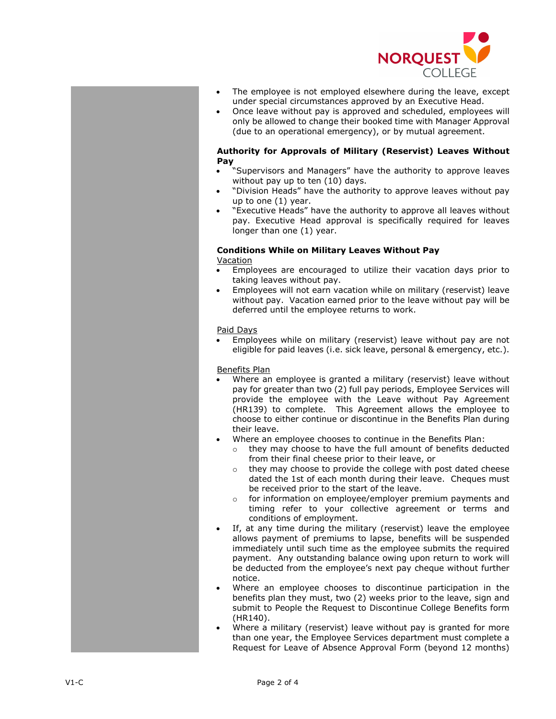

- The employee is not employed elsewhere during the leave, except under special circumstances approved by an Executive Head .
- Once leave without pay is approved and scheduled, employees will only be allowed to change their booked time with Manager Approval (due to an operational emergency ), or by mutual agreement.

### **Authority for Approvals of Military (Reservist) Leaves Without Pay**

- "Supervisors and Managers" have the authority to approve leaves without pay up to ten (10) days.
- "Division Heads" have the authority to approve leaves without pay up to one (1) year.
- "Executive Heads" have the authority to approve all leaves without pay. Executive Head approval is specifically required for leaves longer than one (1) year.

## **Conditions While on Military Leaves Without Pay**

## **Vacation**

- Employees are encouraged to utilize their vacation days prior to taking leaves without pay.
- Employees will not earn vacation while on military (reservist) leave without pay. Vacation earned prior to the leave without pay will be deferred until the employee returns to work.

## Paid Days

• Employees while on military (reservist) leave without pay are not eligible for paid leaves (i.e. sick leave, personal & emergency, etc.).

## Benefits Plan

- Where an employee is granted a military (reservist) leave without pay for greater than two (2) full pay periods , Employee Services will provide the employee with the Leave without Pay Agreement (HR139) to complete. This Agreement allows the employee to choose to either continue or discontinue in the Benefits Plan during their leave.
- Where an employee chooses to continue in the Benefits Plan:
	- o they may choose to have the full amount of benefits deducted from their final cheese prior to their leave, or
	- o they may choose to provide the college with post dated cheese dated the 1st of each month during their leave. Cheques must be received prior to the start of the leave.
	- o for information on employee/employer premium payments and timing refer to your collective agreement or terms and conditions of employment.
- If , at any time during the military (reservist) leave the employee allows payment of premiums to lapse, benefits will be suspended immediately until such time as the employee submits the required payment. Any outstanding balance owing upon return to work will be deducted from the employee 's next pay cheque without further notice.
- Where an employee chooses to discontinue participation in the benefits plan they must, two (2) weeks prior to the leave, sign and submit to People the Request to Discontinue College Benefits form (HR140).
- Where a military (reservist) leave without pay is granted for more than one year, the Employee Services department must complete a Request for Leave of Absence Approval Form (beyond 12 months)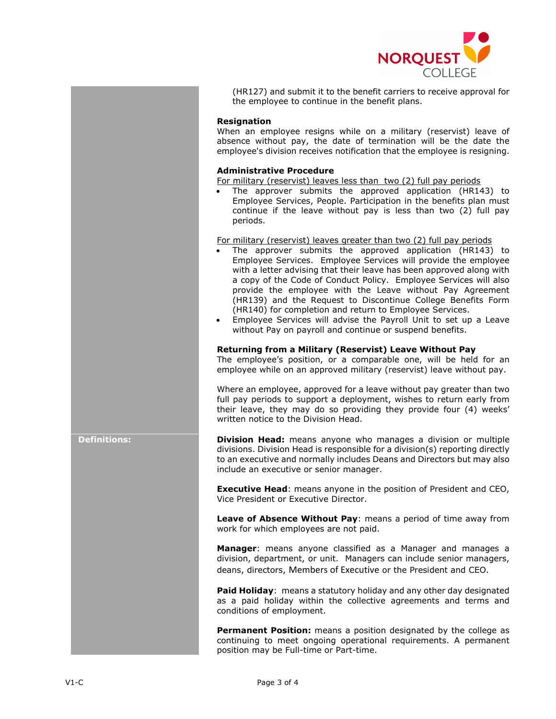

(HR127) and submit it to the benefit carriers to receive approval for the employee to continue in the benefit plans.

#### **Resignation**

When an employee resigns while on a military (reservist) leave of absence without pay, the date of termination will be the date the employee's division receives notification that the employee is resigning.

### **Administrative Procedure**

For military (reservist) leaves less than two (2) full pay periods

The approver submits the approved application (HR143) to Employee Services, People. Participation in the benefits plan must continue if the leave without pay is less than two (2) full pay periods.

For military (reservist) leaves greater than two (2) full pay periods

- The approver submits the approved application (HR143) to Employee Services. Employee Services will provide the employee with a letter advising that their leave has been approved along with a copy of the Code of Conduct Policy. Employee Services will also provide the employee with the Leave without Pay Agreement (HR139) and the Request to Discontinue College Benefits Form (HR140) for completion and return to Employee Services.
- Employee Services will advise the Payroll Unit to set up a Leave without Pay on payroll and continue or suspend benefits.

#### **Returning from a Military (Reservist) Leave Without Pay**

The employee's position, or a comparable one, will be held for an employee while on an approved military (reservist) leave without pay.

Where an employee, approved for a leave without pay greater than two full pay periods to support a deployment, wishes to return early from their leave, they may do so providing they provide four (4) weeks' written notice to the Division Head.

**Definitions: Division Head:** means anyone who manages a division or multiple divisions. Division Head is responsible for a division(s) reporting directly to an executive and normally includes Deans and Directors but may also include an executive or senior manager.

> **Executive Head**: means anyone in the position of President and CEO, Vice President or Executive Director.

> **Leave of Absence Without Pay**: means a period of time away from work for which employees are not paid.

> **Manager**: means anyone classified as a Manager and manages a division, department, or unit. Managers can include senior managers, deans, directors, Members of Executive or the President and CEO.

> **Paid Holiday**: means a statutory holiday and any other day designated as a paid holiday within the collective agreements and terms and conditions of employment.

> **Permanent Position:** means a position designated by the college as continuing to meet ongoing operational requirements. A permanent position may be Full-time or Part-time.